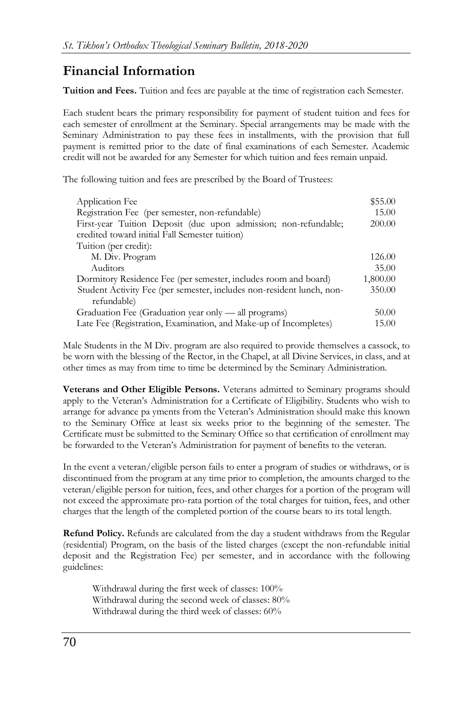## **Financial Information**

**Tuition and Fees.** Tuition and fees are payable at the time of registration each Semester.

Each student bears the primary responsibility for payment of student tuition and fees for each semester of enrollment at the Seminary. Special arrangements may be made with the Seminary Administration to pay these fees in installments, with the provision that full payment is remitted prior to the date of final examinations of each Semester. Academic credit will not be awarded for any Semester for which tuition and fees remain unpaid.

The following tuition and fees are prescribed by the Board of Trustees:

| Application Fee                                                       | \$55.00  |
|-----------------------------------------------------------------------|----------|
| Registration Fee (per semester, non-refundable)                       | 15.00    |
| First-year Tuition Deposit (due upon admission; non-refundable;       | 200.00   |
| credited toward initial Fall Semester tuition)                        |          |
| Tuition (per credit):                                                 |          |
| M. Div. Program                                                       | 126.00   |
| Auditors                                                              | 35.00    |
| Dormitory Residence Fee (per semester, includes room and board)       | 1,800.00 |
| Student Activity Fee (per semester, includes non-resident lunch, non- | 350.00   |
| refundable)                                                           |          |
| Graduation Fee (Graduation year only — all programs)                  | 50.00    |
| Late Fee (Registration, Examination, and Make-up of Incompletes)      | 15.00    |

Male Students in the M Div. program are also required to provide themselves a cassock, to be worn with the blessing of the Rector, in the Chapel, at all Divine Services, in class, and at other times as may from time to time be determined by the Seminary Administration.

**Veterans and Other Eligible Persons.** Veterans admitted to Seminary programs should apply to the Veteran's Administration for a Certificate of Eligibility. Students who wish to arrange for advance pa yments from the Veteran's Administration should make this known to the Seminary Office at least six weeks prior to the beginning of the semester. The Certificate must be submitted to the Seminary Office so that certification of enrollment may be forwarded to the Veteran's Administration for payment of benefits to the veteran.

In the event a veteran/eligible person fails to enter a program of studies or withdraws, or is discontinued from the program at any time prior to completion, the amounts charged to the veteran/eligible person for tuition, fees, and other charges for a portion of the program will not exceed the approximate pro-rata portion of the total charges for tuition, fees, and other charges that the length of the completed portion of the course bears to its total length.

**Refund Policy.** Refunds are calculated from the day a student withdraws from the Regular (residential) Program, on the basis of the listed charges (except the non-refundable initial deposit and the Registration Fee) per semester, and in accordance with the following guidelines:

Withdrawal during the first week of classes: 100% Withdrawal during the second week of classes: 80% Withdrawal during the third week of classes: 60%